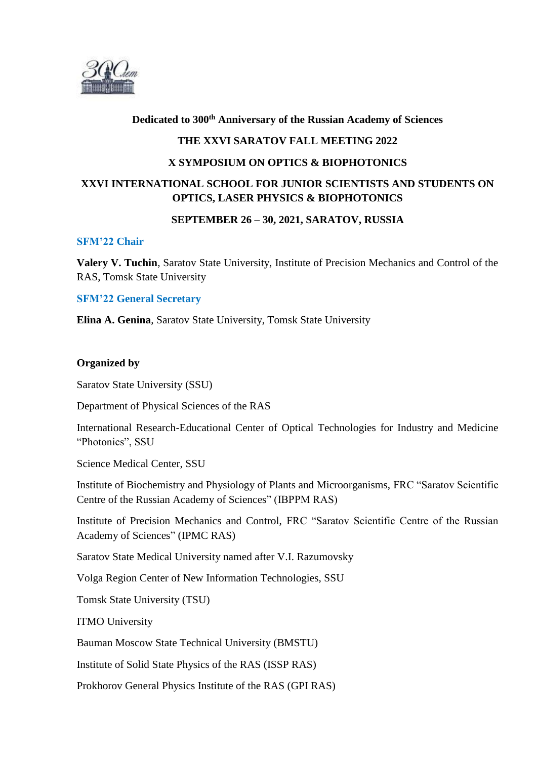

## **Dedicated to 300th Anniversary of the Russian Academy of Sciences**

## **THE XXVI SARATOV FALL MEETING 2022**

### **X SYMPOSIUM ON OPTICS & BIOPHOTONICS**

# **XXVI INTERNATIONAL SCHOOL FOR JUNIOR SCIENTISTS AND STUDENTS ON OPTICS, LASER PHYSICS & BIOPHOTONICS**

## **SEPTEMBER 26 – 30, 2021, SARATOV, RUSSIA**

#### **SFM'22 Chair**

**Valery V. Tuchin**, Saratov State University, Institute of Precision Mechanics and Control of the RAS, Tomsk State University

#### **SFM'22 General Secretary**

**Elina A. Genina**, Saratov State University, Tomsk State University

#### **Organized by**

Saratov State University (SSU)

Department of Physical Sciences of the RAS

International Research-Educational Center of Optical Technologies for Industry and Medicine "Photonics", SSU

Science Medical Center, SSU

Institute of Biochemistry and Physiology of Plants and Microorganisms, FRC "Saratov Scientific Centre of the Russian Academy of Sciences" (IBPPM RAS)

Institute of Precision Mechanics and Control, FRC "Saratov Scientific Centre of the Russian Academy of Sciences" (IPMC RAS)

Saratov State Medical University named after V.I. Razumovsky

Volga Region Center of New Information Technologies, SSU

Tomsk State University (TSU)

ITMO University

Bauman Moscow State Technical University (BMSTU)

Institute of Solid State Physics of the RAS (ISSP RAS)

Prokhorov General Physics Institute of the RAS (GPI RAS)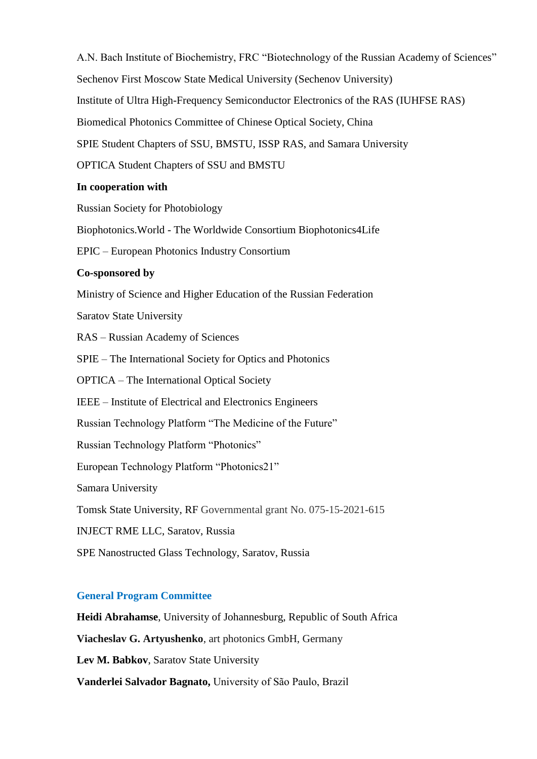А.N. Bach Institute of Biochemistry, FRC "Biotechnology of the Russian Academy of Sciences" Sechenov First Moscow State Medical University (Sechenov University) Institute of Ultra High-Frequency Semiconductor Electronics of the RAS (IUHFSE RAS) Biomedical Photonics Committee of Chinese Optical Society, China SPIE Student Chapters of SSU, BMSTU, ISSP RAS, and Samara University OPTICA Student Chapters of SSU and BMSTU **In cooperation with**  Russian Society for Photobiology Biophotonics.World - The Worldwide Consortium Biophotonics4Life EPIC – European Photonics Industry Consortium **Co-sponsored by**  Ministry of Science and Higher Education of the Russian Federation Saratov State University RAS – Russian Academy of Sciences SPIE – The International Society for Optics and Photonics OPTICA – The International Optical Society IEEE – Institute of Electrical and Electronics Engineers Russian Technology Platform "The Medicine of the Future" Russian Technology Platform "Photonics" European Technology Platform "Photonics21" Samara University Tomsk State University, RF Governmental grant No. 075-15-2021-615 INJECT RME LLC, Saratov, Russia SPE Nanostructed Glass Technology, Saratov, Russia

## **General Program Committee**

**Heidi Abrahamse**, University of Johannesburg, Republic of South Africa **Viacheslav G. Artyushenko**, art photonics GmbH, Germany **Lev M. Babkov**, Saratov State University **Vanderlei Salvador Bagnato,** University of São Paulo, Brazil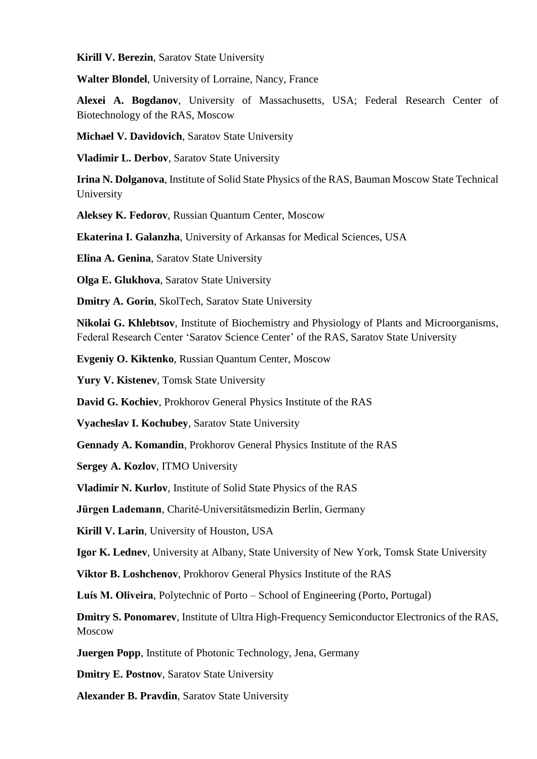**Kirill V. Berezin**, Saratov State University

**Walter Blondel**, University of Lorraine, Nancy, France

**Alexei A. Bogdanov**, University of Massachusetts, USA; Federal Research Center of Biotechnology of the RAS, Moscow

**Michael V. Davidovich**, Saratov State University

**Vladimir L. Derbov**, Saratov State University

**Irina N. Dolganova**, Institute of Solid State Physics of the RAS, Bauman Moscow State Technical University

**Aleksey K. Fedorov**, Russian Quantum Center, Moscow

**Ekaterina I. Galanzha**, University of Arkansas for Medical Sciences, USA

**Elina A. Genina**, Saratov State University

**Olga E. Glukhova**, Saratov State University

**Dmitry A. Gorin**, SkolTech, Saratov State University

**Nikolai G. Khlebtsov**, Institute of Biochemistry and Physiology of Plants and Microorganisms, Federal Research Center 'Saratov Science Center' of the RAS, Saratov State University

**Evgeniy O. Kiktenko**, Russian Quantum Center, Moscow

**Yury V. Kistenev**, Tomsk State University

**David G. Kochiev**, Prokhorov General Physics Institute of the RAS

**Vyacheslav I. Kochubey**, Saratov State University

**Gennady A. Komandin**, Prokhorov General Physics Institute of the RAS

**Sergey A. Kozlov**, ITMO University

**Vladimir N. Kurlov**, Institute of Solid State Physics of the RAS

**Jürgen Lademann**, Charité-Universitätsmedizin Berlin, Germany

**Kirill V. Larin**, University of Houston, USA

**Igor K. Lednev**, University at Albany, State University of New York, Tomsk State University

**Viktor B. Loshchenov**, Prokhorov General Physics Institute of the RAS

**Luís M. Oliveira**, Polytechnic of Porto – School of Engineering (Porto, Portugal)

**Dmitry S. Ponomarev**, Institute of Ultra High-Frequency Semiconductor Electronics of the RAS, Moscow

**Juergen Popp**, Institute of Photonic Technology, Jena, Germany

**Dmitry E. Postnov**, Saratov State University

**Alexander B. Pravdin**, Saratov State University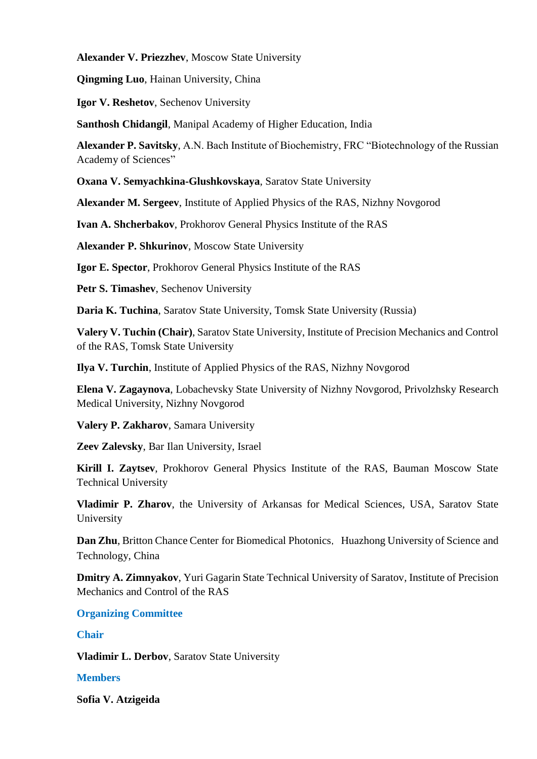**Alexander V. Priezzhev**, Moscow State University

**Qingming Luo**, Hainan University, China

**Igor V. Reshetov**, Sechenov University

**Santhosh Chidangil**, Manipal Academy of Higher Education, India

**Alexander P. Savitsky**, А.N. Bach Institute of Biochemistry, FRC "Biotechnology of the Russian Academy of Sciences"

**Oxana V. Semyachkina-Glushkovskaya**, Saratov State University

**Alexander M. Sergeev**, Institute of Applied Physics of the RAS, Nizhny Novgorod

**Ivan A. Shcherbakov**, Prokhorov General Physics Institute of the RAS

**Alexander P. Shkurinov**, Moscow State University

**Igor E. Spector**, Prokhorov General Physics Institute of the RAS

**Petr S. Timashev**, Sechenov University

**Daria K. Tuchina**, Saratov State University, Tomsk State University (Russia)

**Valery V. Tuchin (Chair)**, Saratov State University, Institute of Precision Mechanics and Control of the RAS, Tomsk State University

**Ilya V. Turchin**, Institute of Applied Physics of the RAS, Nizhny Novgorod

**Elena V. Zagaynova**, Lobachevsky State University of Nizhny Novgorod, Privolzhsky Research Medical University, Nizhny Novgorod

**Valery P. Zakharov**, Samara University

**Zeev Zalevsky**, Bar Ilan University, Israel

**Kirill I. Zaytsev**, Prokhorov General Physics Institute of the RAS, Bauman Moscow State Technical University

**Vladimir P. Zharov**, the University of Arkansas for Medical Sciences, USA, Saratov State University

**Dan Zhu**, Britton Chance Center for Biomedical Photonics, Huazhong University of Science and Technology, China

**Dmitry A. Zimnyakov**, Yuri Gagarin State Technical University of Saratov, Institute of Precision Mechanics and Control of the RAS

**Organizing Committee**

**Chair**

**Vladimir L. Derbov**, Saratov State University

## **Members**

**Sofia V. Atzigeida**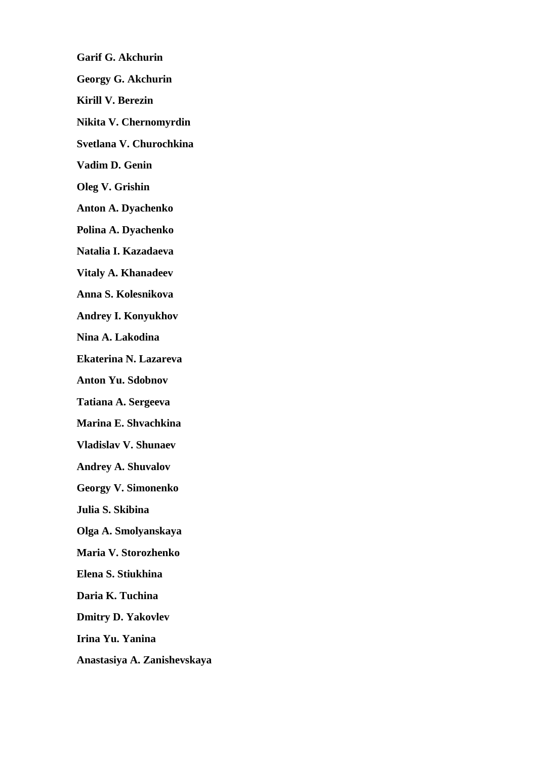**Garif G. Akchurin Georgy G. Akchurin Kirill V. Berezin Nikita V. Chernomyrdin Svetlana V. Churochkina Vadim D. Genin Oleg V. Grishin Anton A. Dyachenko Polina A. Dyachenko Natalia I. Kazadaeva Vitaly A. Khanadeev Anna S. Kolesnikova Andrey I. Konyukhov Nina A. Lakodina Ekaterina N. Lazareva Anton Yu. Sdobnov Tatiana A. Sergeeva Marina E. Shvachkina Vladislav V. Shunaev Andrey A. Shuvalov Georgy V. Simonenko Julia S. Skibina Olga A. Smolyanskaya Maria V. Storozhenko Elena S. Stiukhina Daria K. Tuchina Dmitry D. Yakovlev** 

**Irina Yu. Yanina** 

**Anastasiya A. Zanishevskaya**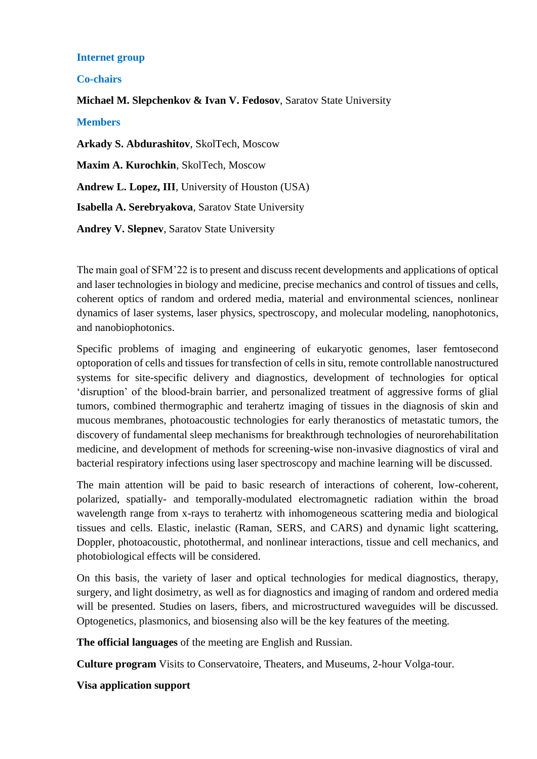## **Internet group**

## **Co-chairs**

**Michael M. Slepchenkov & Ivan V. Fedosov**, Saratov State University

**Members** 

**Arkady S. Abdurashitov**, SkolTech, Moscow

**Maxim A. Kurochkin**, SkolTech, Moscow

**Andrew L. Lopez, III**, University of Houston (USA)

**Isabella A. Serebryakova**, Saratov State University

**Andrey V. Slepnev**, Saratov State University

The main goal of SFM'22 is to present and discuss recent developments and applications of optical and laser technologies in biology and medicine, precise mechanics and control of tissues and cells, coherent optics of random and ordered media, material and environmental sciences, nonlinear dynamics of laser systems, laser physics, spectroscopy, and molecular modeling, nanophotonics, and nanobiophotonics.

Specific problems of imaging and engineering of eukaryotic genomes, laser femtosecond optoporation of cells and tissues for transfection of cells in situ, remote controllable nanostructured systems for site-specific delivery and diagnostics, development of technologies for optical 'disruption' of the blood-brain barrier, and personalized treatment of aggressive forms of glial tumors, combined thermographic and terahertz imaging of tissues in the diagnosis of skin and mucous membranes, photoacoustic technologies for early theranostics of metastatic tumors, the discovery of fundamental sleep mechanisms for breakthrough technologies of neurorehabilitation medicine, and development of methods for screening-wise non-invasive diagnostics of viral and bacterial respiratory infections using laser spectroscopy and machine learning will be discussed.

The main attention will be paid to basic research of interactions of coherent, low-coherent, polarized, spatially- and temporally-modulated electromagnetic radiation within the broad wavelength range from x-rays to terahertz with inhomogeneous scattering media and biological tissues and cells. Elastic, inelastic (Raman, SERS, and CARS) and dynamic light scattering, Doppler, photoacoustic, photothermal, and nonlinear interactions, tissue and cell mechanics, and photobiological effects will be considered.

On this basis, the variety of laser and optical technologies for medical diagnostics, therapy, surgery, and light dosimetry, as well as for diagnostics and imaging of random and ordered media will be presented. Studies on lasers, fibers, and microstructured waveguides will be discussed. Optogenetics, plasmonics, and biosensing also will be the key features of the meeting.

**The official languages** of the meeting are English and Russian.

**Culture program** Visits to Conservatoire, Theaters, and Museums, 2-hour Volga-tour.

**Visa application support**